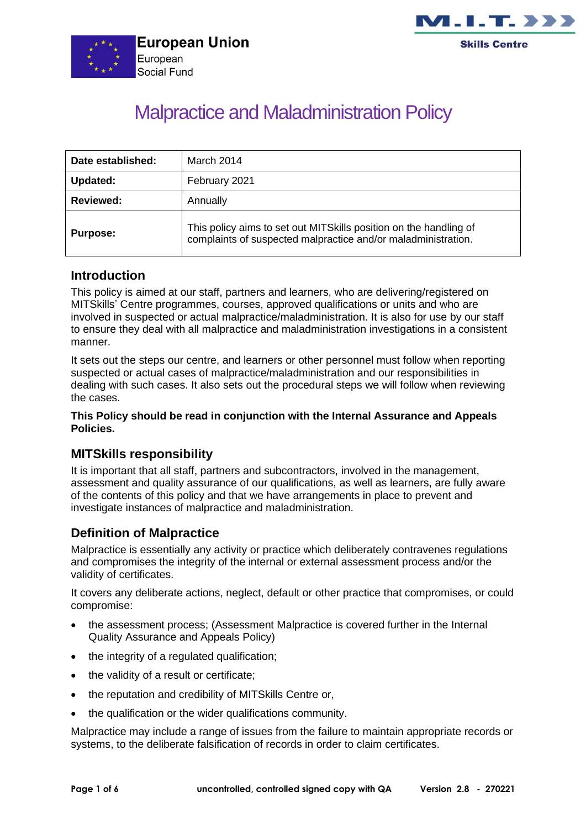



# Malpractice and Maladministration Policy

| Date established: | March 2014                                                                                                                          |
|-------------------|-------------------------------------------------------------------------------------------------------------------------------------|
| <b>Updated:</b>   | February 2021                                                                                                                       |
| <b>Reviewed:</b>  | Annually                                                                                                                            |
| <b>Purpose:</b>   | This policy aims to set out MITS kills position on the handling of<br>complaints of suspected malpractice and/or maladministration. |

#### **Introduction**

This policy is aimed at our staff, partners and learners, who are delivering/registered on MITSkills' Centre programmes, courses, approved qualifications or units and who are involved in suspected or actual malpractice/maladministration. It is also for use by our staff to ensure they deal with all malpractice and maladministration investigations in a consistent manner.

It sets out the steps our centre, and learners or other personnel must follow when reporting suspected or actual cases of malpractice/maladministration and our responsibilities in dealing with such cases. It also sets out the procedural steps we will follow when reviewing the cases.

#### **This Policy should be read in conjunction with the Internal Assurance and Appeals Policies.**

## **MITSkills responsibility**

It is important that all staff, partners and subcontractors, involved in the management, assessment and quality assurance of our qualifications, as well as learners, are fully aware of the contents of this policy and that we have arrangements in place to prevent and investigate instances of malpractice and maladministration.

# **Definition of Malpractice**

Malpractice is essentially any activity or practice which deliberately contravenes regulations and compromises the integrity of the internal or external assessment process and/or the validity of certificates.

It covers any deliberate actions, neglect, default or other practice that compromises, or could compromise:

- the assessment process: (Assessment Malpractice is covered further in the Internal Quality Assurance and Appeals Policy)
- the integrity of a regulated qualification;
- the validity of a result or certificate;
- the reputation and credibility of MITSkills Centre or,
- the qualification or the wider qualifications community.

Malpractice may include a range of issues from the failure to maintain appropriate records or systems, to the deliberate falsification of records in order to claim certificates.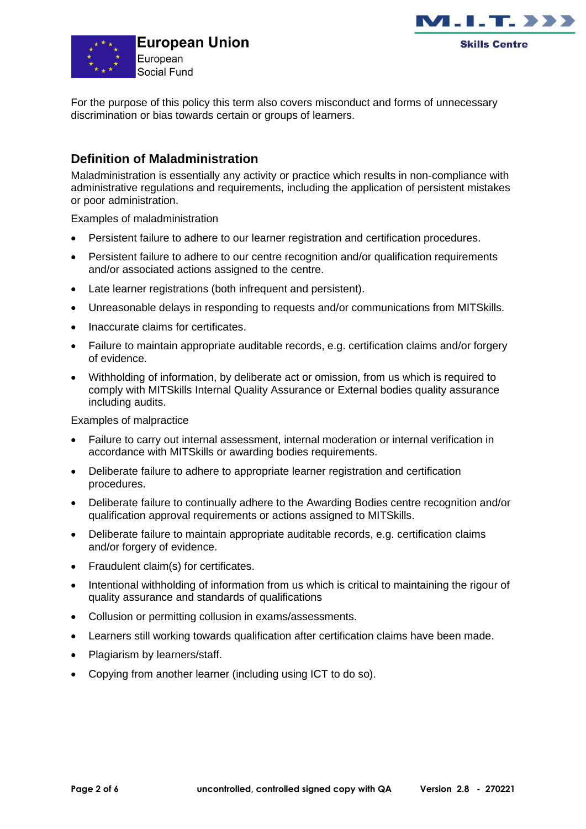



For the purpose of this policy this term also covers misconduct and forms of unnecessary discrimination or bias towards certain or groups of learners.

# **Definition of Maladministration**

Maladministration is essentially any activity or practice which results in non-compliance with administrative regulations and requirements, including the application of persistent mistakes or poor administration.

Examples of maladministration

- Persistent failure to adhere to our learner registration and certification procedures.
- Persistent failure to adhere to our centre recognition and/or qualification requirements and/or associated actions assigned to the centre.
- Late learner registrations (both infrequent and persistent).
- Unreasonable delays in responding to requests and/or communications from MITSkills.
- Inaccurate claims for certificates.
- Failure to maintain appropriate auditable records, e.g. certification claims and/or forgery of evidence.
- Withholding of information, by deliberate act or omission, from us which is required to comply with MITSkills Internal Quality Assurance or External bodies quality assurance including audits.

Examples of malpractice

- Failure to carry out internal assessment, internal moderation or internal verification in accordance with MITSkills or awarding bodies requirements.
- Deliberate failure to adhere to appropriate learner registration and certification procedures.
- Deliberate failure to continually adhere to the Awarding Bodies centre recognition and/or qualification approval requirements or actions assigned to MITSkills.
- Deliberate failure to maintain appropriate auditable records, e.g. certification claims and/or forgery of evidence.
- Fraudulent claim(s) for certificates.
- Intentional withholding of information from us which is critical to maintaining the rigour of quality assurance and standards of qualifications
- Collusion or permitting collusion in exams/assessments.
- Learners still working towards qualification after certification claims have been made.
- Plagiarism by learners/staff.
- Copying from another learner (including using ICT to do so).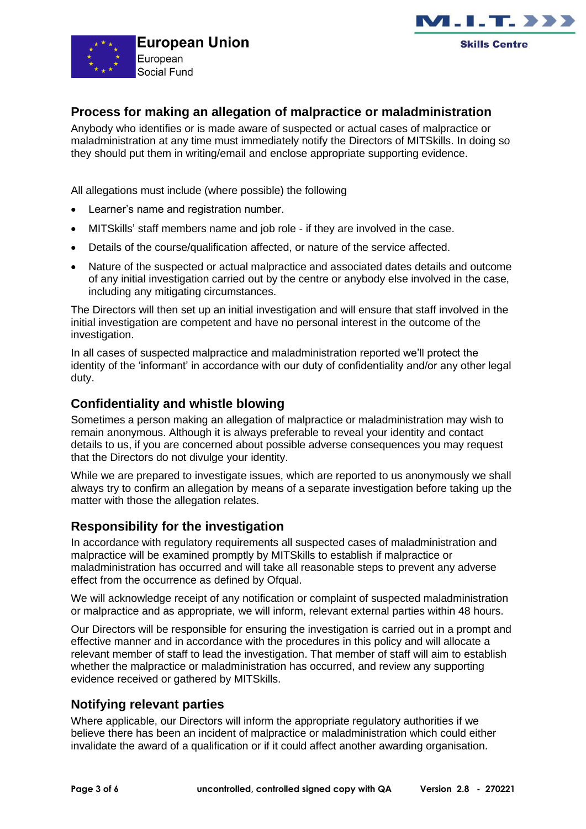



## **Process for making an allegation of malpractice or maladministration**

Anybody who identifies or is made aware of suspected or actual cases of malpractice or maladministration at any time must immediately notify the Directors of MITSkills. In doing so they should put them in writing/email and enclose appropriate supporting evidence.

All allegations must include (where possible) the following

- Learner's name and registration number.
- MITSkills' staff members name and job role if they are involved in the case.
- Details of the course/qualification affected, or nature of the service affected.
- Nature of the suspected or actual malpractice and associated dates details and outcome of any initial investigation carried out by the centre or anybody else involved in the case, including any mitigating circumstances.

The Directors will then set up an initial investigation and will ensure that staff involved in the initial investigation are competent and have no personal interest in the outcome of the investigation.

In all cases of suspected malpractice and maladministration reported we'll protect the identity of the 'informant' in accordance with our duty of confidentiality and/or any other legal duty.

## **Confidentiality and whistle blowing**

Sometimes a person making an allegation of malpractice or maladministration may wish to remain anonymous. Although it is always preferable to reveal your identity and contact details to us, if you are concerned about possible adverse consequences you may request that the Directors do not divulge your identity.

While we are prepared to investigate issues, which are reported to us anonymously we shall always try to confirm an allegation by means of a separate investigation before taking up the matter with those the allegation relates.

# **Responsibility for the investigation**

In accordance with regulatory requirements all suspected cases of maladministration and malpractice will be examined promptly by MITSkills to establish if malpractice or maladministration has occurred and will take all reasonable steps to prevent any adverse effect from the occurrence as defined by Ofqual.

We will acknowledge receipt of any notification or complaint of suspected maladministration or malpractice and as appropriate, we will inform, relevant external parties within 48 hours.

Our Directors will be responsible for ensuring the investigation is carried out in a prompt and effective manner and in accordance with the procedures in this policy and will allocate a relevant member of staff to lead the investigation. That member of staff will aim to establish whether the malpractice or maladministration has occurred, and review any supporting evidence received or gathered by MITSkills.

## **Notifying relevant parties**

Where applicable, our Directors will inform the appropriate regulatory authorities if we believe there has been an incident of malpractice or maladministration which could either invalidate the award of a qualification or if it could affect another awarding organisation.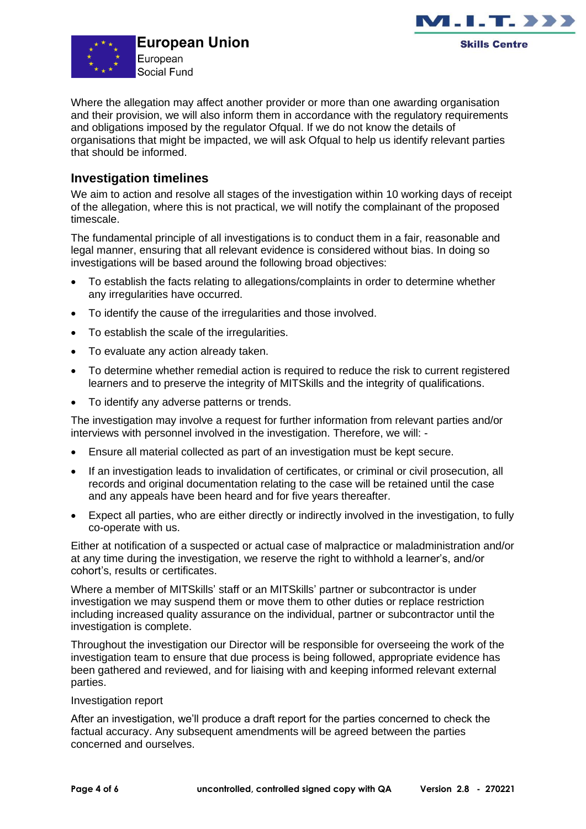



Where the allegation may affect another provider or more than one awarding organisation and their provision, we will also inform them in accordance with the regulatory requirements and obligations imposed by the regulator Ofqual. If we do not know the details of organisations that might be impacted, we will ask Ofqual to help us identify relevant parties that should be informed.

## **Investigation timelines**

We aim to action and resolve all stages of the investigation within 10 working days of receipt of the allegation, where this is not practical, we will notify the complainant of the proposed timescale.

The fundamental principle of all investigations is to conduct them in a fair, reasonable and legal manner, ensuring that all relevant evidence is considered without bias. In doing so investigations will be based around the following broad objectives:

- To establish the facts relating to allegations/complaints in order to determine whether any irregularities have occurred.
- To identify the cause of the irregularities and those involved.
- To establish the scale of the irregularities.
- To evaluate any action already taken.
- To determine whether remedial action is required to reduce the risk to current registered learners and to preserve the integrity of MITSkills and the integrity of qualifications.
- To identify any adverse patterns or trends.

The investigation may involve a request for further information from relevant parties and/or interviews with personnel involved in the investigation. Therefore, we will: -

- Ensure all material collected as part of an investigation must be kept secure.
- If an investigation leads to invalidation of certificates, or criminal or civil prosecution, all records and original documentation relating to the case will be retained until the case and any appeals have been heard and for five years thereafter.
- Expect all parties, who are either directly or indirectly involved in the investigation, to fully co-operate with us.

Either at notification of a suspected or actual case of malpractice or maladministration and/or at any time during the investigation, we reserve the right to withhold a learner's, and/or cohort's, results or certificates.

Where a member of MITSkills' staff or an MITSkills' partner or subcontractor is under investigation we may suspend them or move them to other duties or replace restriction including increased quality assurance on the individual, partner or subcontractor until the investigation is complete.

Throughout the investigation our Director will be responsible for overseeing the work of the investigation team to ensure that due process is being followed, appropriate evidence has been gathered and reviewed, and for liaising with and keeping informed relevant external parties.

#### Investigation report

After an investigation, we'll produce a draft report for the parties concerned to check the factual accuracy. Any subsequent amendments will be agreed between the parties concerned and ourselves.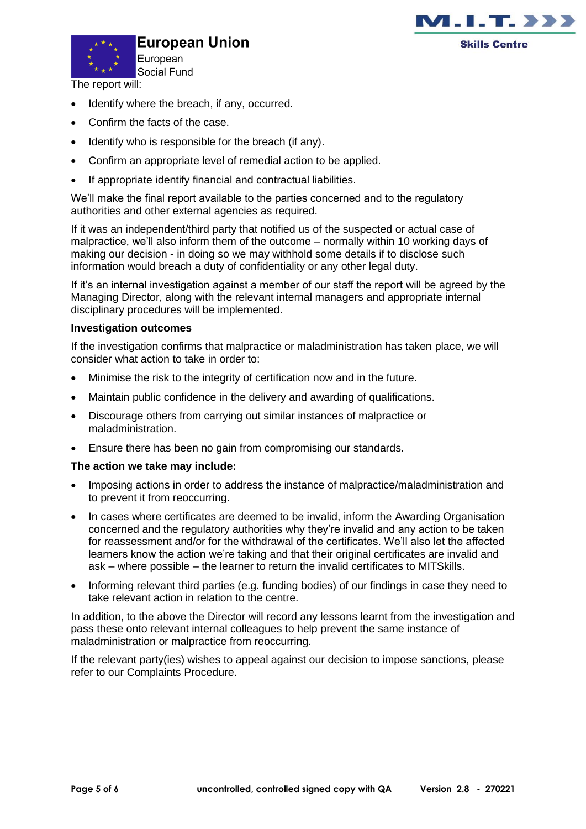



**European Union** 

The report will:

- Identify where the breach, if any, occurred.
- Confirm the facts of the case.
- Identify who is responsible for the breach (if any).
- Confirm an appropriate level of remedial action to be applied.
- If appropriate identify financial and contractual liabilities.

We'll make the final report available to the parties concerned and to the regulatory authorities and other external agencies as required.

If it was an independent/third party that notified us of the suspected or actual case of malpractice, we'll also inform them of the outcome – normally within 10 working days of making our decision - in doing so we may withhold some details if to disclose such information would breach a duty of confidentiality or any other legal duty.

If it's an internal investigation against a member of our staff the report will be agreed by the Managing Director, along with the relevant internal managers and appropriate internal disciplinary procedures will be implemented.

#### **Investigation outcomes**

If the investigation confirms that malpractice or maladministration has taken place, we will consider what action to take in order to:

- Minimise the risk to the integrity of certification now and in the future.
- Maintain public confidence in the delivery and awarding of qualifications.
- Discourage others from carrying out similar instances of malpractice or maladministration.
- Ensure there has been no gain from compromising our standards.

#### **The action we take may include:**

- Imposing actions in order to address the instance of malpractice/maladministration and to prevent it from reoccurring.
- In cases where certificates are deemed to be invalid, inform the Awarding Organisation concerned and the regulatory authorities why they're invalid and any action to be taken for reassessment and/or for the withdrawal of the certificates. We'll also let the affected learners know the action we're taking and that their original certificates are invalid and ask – where possible – the learner to return the invalid certificates to MITSkills.
- Informing relevant third parties (e.g. funding bodies) of our findings in case they need to take relevant action in relation to the centre.

In addition, to the above the Director will record any lessons learnt from the investigation and pass these onto relevant internal colleagues to help prevent the same instance of maladministration or malpractice from reoccurring.

If the relevant party(ies) wishes to appeal against our decision to impose sanctions, please refer to our Complaints Procedure.